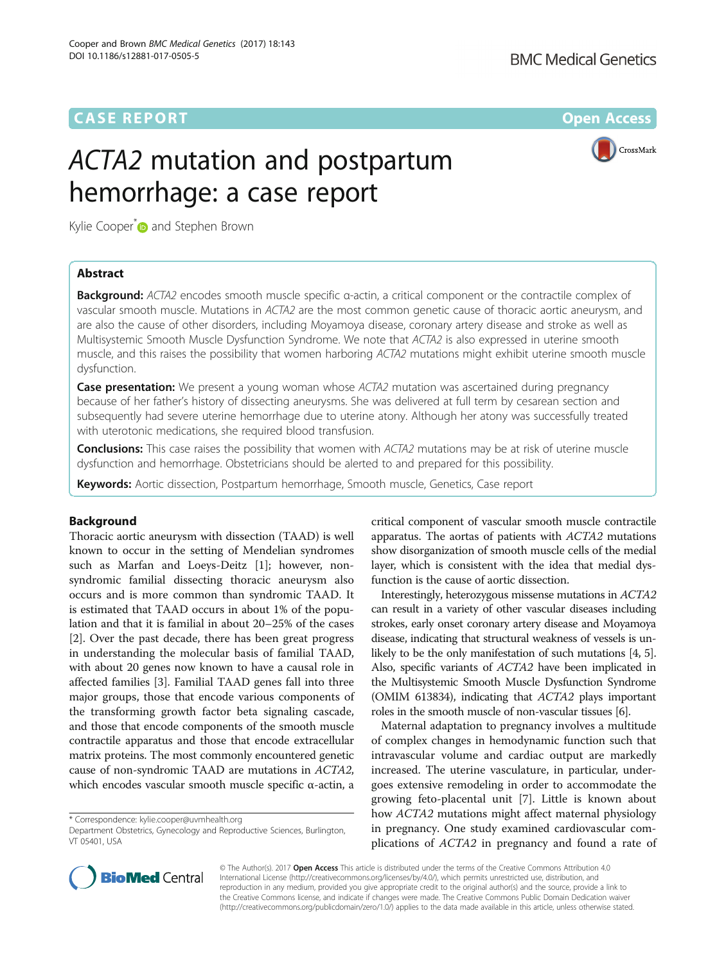# **CASE REPORT CASE REPORT CASE ACCESS**

# ACTA2 mutation and postpartum hemorrhage: a case report



Kylie Cooper<sup>\*</sup> and Stephen Brown

## Abstract

Background: ACTA2 encodes smooth muscle specific α-actin, a critical component or the contractile complex of vascular smooth muscle. Mutations in ACTA2 are the most common genetic cause of thoracic aortic aneurysm, and are also the cause of other disorders, including Moyamoya disease, coronary artery disease and stroke as well as Multisystemic Smooth Muscle Dysfunction Syndrome. We note that ACTA2 is also expressed in uterine smooth muscle, and this raises the possibility that women harboring ACTA2 mutations might exhibit uterine smooth muscle dysfunction.

**Case presentation:** We present a young woman whose ACTA2 mutation was ascertained during pregnancy because of her father's history of dissecting aneurysms. She was delivered at full term by cesarean section and subsequently had severe uterine hemorrhage due to uterine atony. Although her atony was successfully treated with uterotonic medications, she required blood transfusion.

**Conclusions:** This case raises the possibility that women with ACTA2 mutations may be at risk of uterine muscle dysfunction and hemorrhage. Obstetricians should be alerted to and prepared for this possibility.

Keywords: Aortic dissection, Postpartum hemorrhage, Smooth muscle, Genetics, Case report

#### Background

Thoracic aortic aneurysm with dissection (TAAD) is well known to occur in the setting of Mendelian syndromes such as Marfan and Loeys-Deitz [\[1](#page-2-0)]; however, nonsyndromic familial dissecting thoracic aneurysm also occurs and is more common than syndromic TAAD. It is estimated that TAAD occurs in about 1% of the population and that it is familial in about 20–25% of the cases [[2\]](#page-2-0). Over the past decade, there has been great progress in understanding the molecular basis of familial TAAD, with about 20 genes now known to have a causal role in affected families [\[3](#page-2-0)]. Familial TAAD genes fall into three major groups, those that encode various components of the transforming growth factor beta signaling cascade, and those that encode components of the smooth muscle contractile apparatus and those that encode extracellular matrix proteins. The most commonly encountered genetic cause of non-syndromic TAAD are mutations in ACTA2, which encodes vascular smooth muscle specific α-actin, a

\* Correspondence: [kylie.cooper@uvmhealth.org](mailto:kylie.cooper@uvmhealth.org)

Department Obstetrics, Gynecology and Reproductive Sciences, Burlington, VT 05401, USA

critical component of vascular smooth muscle contractile apparatus. The aortas of patients with ACTA2 mutations show disorganization of smooth muscle cells of the medial layer, which is consistent with the idea that medial dysfunction is the cause of aortic dissection.

Interestingly, heterozygous missense mutations in ACTA2 can result in a variety of other vascular diseases including strokes, early onset coronary artery disease and Moyamoya disease, indicating that structural weakness of vessels is unlikely to be the only manifestation of such mutations [\[4, 5](#page-2-0)]. Also, specific variants of ACTA2 have been implicated in the Multisystemic Smooth Muscle Dysfunction Syndrome (OMIM 613834), indicating that ACTA2 plays important roles in the smooth muscle of non-vascular tissues [\[6\]](#page-2-0).

Maternal adaptation to pregnancy involves a multitude of complex changes in hemodynamic function such that intravascular volume and cardiac output are markedly increased. The uterine vasculature, in particular, undergoes extensive remodeling in order to accommodate the growing feto-placental unit [[7\]](#page-2-0). Little is known about how ACTA2 mutations might affect maternal physiology in pregnancy. One study examined cardiovascular complications of ACTA2 in pregnancy and found a rate of



© The Author(s). 2017 Open Access This article is distributed under the terms of the Creative Commons Attribution 4.0 International License [\(http://creativecommons.org/licenses/by/4.0/](http://creativecommons.org/licenses/by/4.0/)), which permits unrestricted use, distribution, and reproduction in any medium, provided you give appropriate credit to the original author(s) and the source, provide a link to the Creative Commons license, and indicate if changes were made. The Creative Commons Public Domain Dedication waiver [\(http://creativecommons.org/publicdomain/zero/1.0/](http://creativecommons.org/publicdomain/zero/1.0/)) applies to the data made available in this article, unless otherwise stated.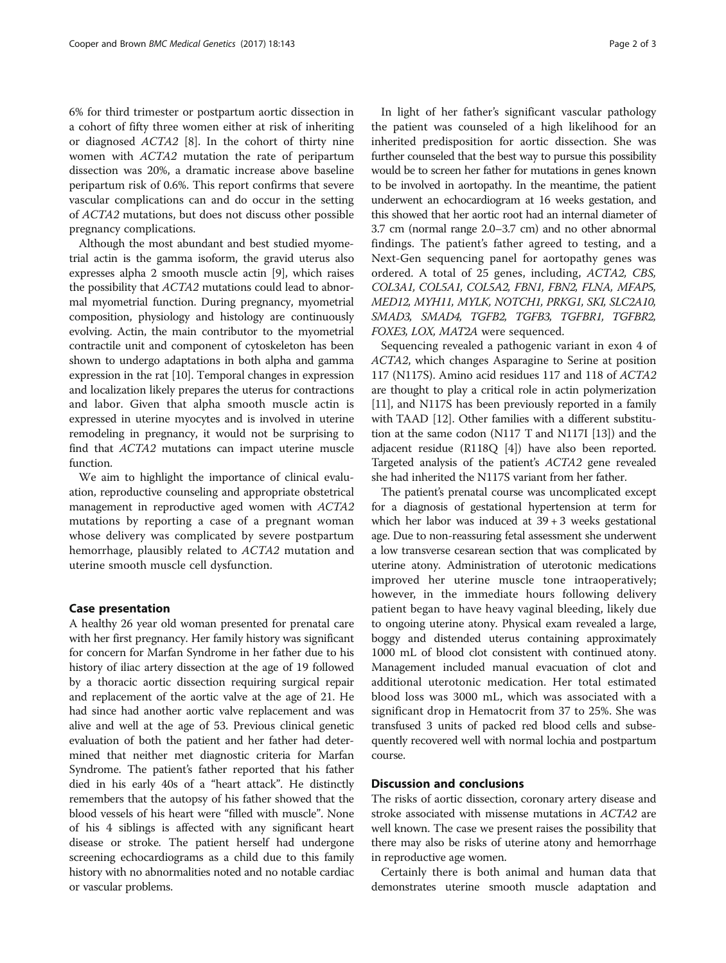6% for third trimester or postpartum aortic dissection in a cohort of fifty three women either at risk of inheriting or diagnosed ACTA2 [\[8](#page-2-0)]. In the cohort of thirty nine women with ACTA2 mutation the rate of peripartum dissection was 20%, a dramatic increase above baseline peripartum risk of 0.6%. This report confirms that severe vascular complications can and do occur in the setting of ACTA2 mutations, but does not discuss other possible pregnancy complications.

Although the most abundant and best studied myometrial actin is the gamma isoform, the gravid uterus also expresses alpha 2 smooth muscle actin [\[9](#page-2-0)], which raises the possibility that ACTA2 mutations could lead to abnormal myometrial function. During pregnancy, myometrial composition, physiology and histology are continuously evolving. Actin, the main contributor to the myometrial contractile unit and component of cytoskeleton has been shown to undergo adaptations in both alpha and gamma expression in the rat [\[10\]](#page-2-0). Temporal changes in expression and localization likely prepares the uterus for contractions and labor. Given that alpha smooth muscle actin is expressed in uterine myocytes and is involved in uterine remodeling in pregnancy, it would not be surprising to find that ACTA2 mutations can impact uterine muscle function.

We aim to highlight the importance of clinical evaluation, reproductive counseling and appropriate obstetrical management in reproductive aged women with ACTA2 mutations by reporting a case of a pregnant woman whose delivery was complicated by severe postpartum hemorrhage, plausibly related to ACTA2 mutation and uterine smooth muscle cell dysfunction.

#### Case presentation

A healthy 26 year old woman presented for prenatal care with her first pregnancy. Her family history was significant for concern for Marfan Syndrome in her father due to his history of iliac artery dissection at the age of 19 followed by a thoracic aortic dissection requiring surgical repair and replacement of the aortic valve at the age of 21. He had since had another aortic valve replacement and was alive and well at the age of 53. Previous clinical genetic evaluation of both the patient and her father had determined that neither met diagnostic criteria for Marfan Syndrome. The patient's father reported that his father died in his early 40s of a "heart attack". He distinctly remembers that the autopsy of his father showed that the blood vessels of his heart were "filled with muscle". None of his 4 siblings is affected with any significant heart disease or stroke. The patient herself had undergone screening echocardiograms as a child due to this family history with no abnormalities noted and no notable cardiac or vascular problems.

In light of her father's significant vascular pathology the patient was counseled of a high likelihood for an inherited predisposition for aortic dissection. She was further counseled that the best way to pursue this possibility would be to screen her father for mutations in genes known to be involved in aortopathy. In the meantime, the patient underwent an echocardiogram at 16 weeks gestation, and this showed that her aortic root had an internal diameter of 3.7 cm (normal range 2.0–3.7 cm) and no other abnormal findings. The patient's father agreed to testing, and a Next-Gen sequencing panel for aortopathy genes was ordered. A total of 25 genes, including, ACTA2, CBS, COL3A1, COL5A1, COL5A2, FBN1, FBN2, FLNA, MFAP5, MED12, MYH11, MYLK, NOTCH1, PRKG1, SKI, SLC2A10, SMAD3, SMAD4, TGFB2, TGFB3, TGFBR1, TGFBR2, FOXE3, LOX, MAT2A were sequenced.

Sequencing revealed a pathogenic variant in exon 4 of ACTA2, which changes Asparagine to Serine at position 117 (N117S). Amino acid residues 117 and 118 of ACTA2 are thought to play a critical role in actin polymerization [[11](#page-2-0)], and N117S has been previously reported in a family with TAAD [\[12\]](#page-2-0). Other families with a different substitution at the same codon (N117 T and N117I [[13](#page-2-0)]) and the adjacent residue (R118Q [\[4\]](#page-2-0)) have also been reported. Targeted analysis of the patient's ACTA2 gene revealed she had inherited the N117S variant from her father.

The patient's prenatal course was uncomplicated except for a diagnosis of gestational hypertension at term for which her labor was induced at  $39 + 3$  weeks gestational age. Due to non-reassuring fetal assessment she underwent a low transverse cesarean section that was complicated by uterine atony. Administration of uterotonic medications improved her uterine muscle tone intraoperatively; however, in the immediate hours following delivery patient began to have heavy vaginal bleeding, likely due to ongoing uterine atony. Physical exam revealed a large, boggy and distended uterus containing approximately 1000 mL of blood clot consistent with continued atony. Management included manual evacuation of clot and additional uterotonic medication. Her total estimated blood loss was 3000 mL, which was associated with a significant drop in Hematocrit from 37 to 25%. She was transfused 3 units of packed red blood cells and subsequently recovered well with normal lochia and postpartum course.

#### Discussion and conclusions

The risks of aortic dissection, coronary artery disease and stroke associated with missense mutations in ACTA2 are well known. The case we present raises the possibility that there may also be risks of uterine atony and hemorrhage in reproductive age women.

Certainly there is both animal and human data that demonstrates uterine smooth muscle adaptation and